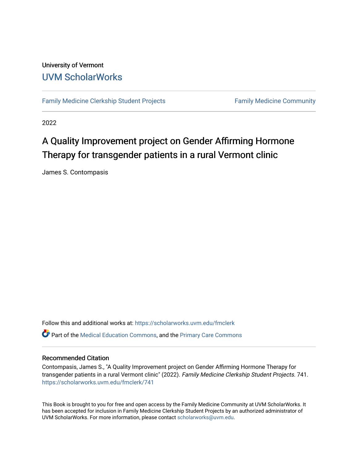#### University of Vermont [UVM ScholarWorks](https://scholarworks.uvm.edu/)

[Family Medicine Clerkship Student Projects](https://scholarworks.uvm.edu/fmclerk) Family Medicine Community

2022

#### A Quality Improvement project on Gender Affirming Hormone Therapy for transgender patients in a rural Vermont clinic

James S. Contompasis

Follow this and additional works at: [https://scholarworks.uvm.edu/fmclerk](https://scholarworks.uvm.edu/fmclerk?utm_source=scholarworks.uvm.edu%2Ffmclerk%2F741&utm_medium=PDF&utm_campaign=PDFCoverPages)  Part of the [Medical Education Commons,](http://network.bepress.com/hgg/discipline/1125?utm_source=scholarworks.uvm.edu%2Ffmclerk%2F741&utm_medium=PDF&utm_campaign=PDFCoverPages) and the [Primary Care Commons](http://network.bepress.com/hgg/discipline/1092?utm_source=scholarworks.uvm.edu%2Ffmclerk%2F741&utm_medium=PDF&utm_campaign=PDFCoverPages) 

#### Recommended Citation

Contompasis, James S., "A Quality Improvement project on Gender Affirming Hormone Therapy for transgender patients in a rural Vermont clinic" (2022). Family Medicine Clerkship Student Projects. 741. [https://scholarworks.uvm.edu/fmclerk/741](https://scholarworks.uvm.edu/fmclerk/741?utm_source=scholarworks.uvm.edu%2Ffmclerk%2F741&utm_medium=PDF&utm_campaign=PDFCoverPages) 

This Book is brought to you for free and open access by the Family Medicine Community at UVM ScholarWorks. It has been accepted for inclusion in Family Medicine Clerkship Student Projects by an authorized administrator of UVM ScholarWorks. For more information, please contact [scholarworks@uvm.edu.](mailto:scholarworks@uvm.edu)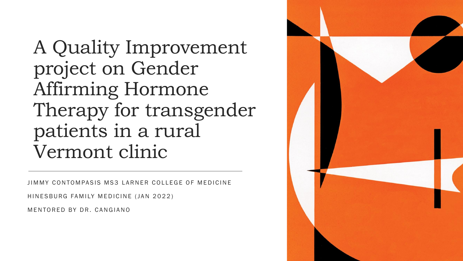A Quality Improvement project on Gender Affirming Hormone Therapy for transgender patients in a rural Vermont clinic

JIMMY CONTOMPASIS MS3 LARNER COLLEGE OF MEDICINE

HINESBURG FAMILY MEDICINE (JAN 2022)

MENTORED BY DR. CANGIANO

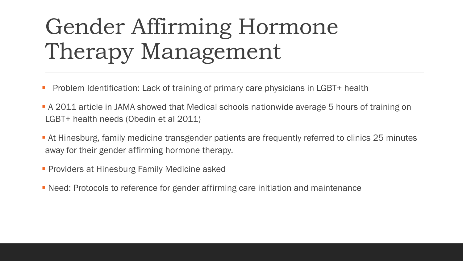## Gender Affirming Hormone Therapy Management

- **Problem Identification: Lack of training of primary care physicians in LGBT+ health**
- A 2011 article in JAMA showed that Medical schools nationwide average 5 hours of training on LGBT+ health needs (Obedin et al 2011)
- **Example 24 Millon 1.4 The Supersy Proncition Fig. 25 minutes At Hinesburg, family referred to clinics 25 minutes** away for their gender affirming hormone therapy.
- **Providers at Hinesburg Family Medicine asked**
- Need: Protocols to reference for gender affirming care initiation and maintenance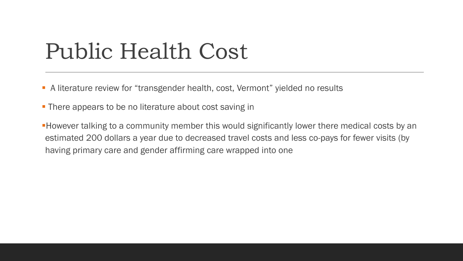### Public Health Cost

- A literature review for "transgender health, cost, Vermont" yielded no results
- **There appears to be no literature about cost saving in**
- **However talking to a community member this would significantly lower there medical costs by an** estimated 200 dollars a year due to decreased travel costs and less co-pays for fewer visits (by having primary care and gender affirming care wrapped into one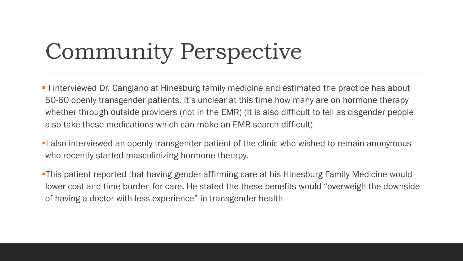# Community Perspective

- **I** I interviewed Dr. Cangiano at Hinesburg family medicine and estimated the practice has about 50-60 openly transgender patients. It's unclear at this time how many are on hormone therapy whether through outside providers (not in the EMR) (It is also difficult to tell as cisgender people also take these medications which can make an EMR search difficult)
- **I** also interviewed an openly transgender patient of the clinic who wished to remain anonymous who recently started masculinizing hormone therapy.
- **-This patient reported that having gender affirming care at his Hinesburg Family Medicine would** lower cost and time burden for care. He stated the these benefits would "overweigh the downside of having a doctor with less experience" in transgender health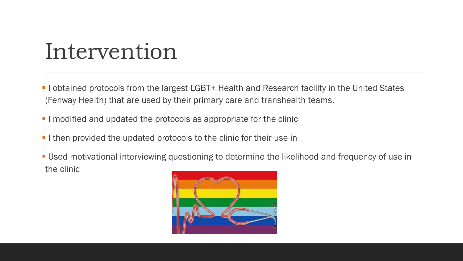### Intervention

- **.** I obtained protocols from the largest LGBT+ Health and Research facility in the United States (Fenway Health) that are used by their primary care and transhealth teams.
- **I** I modified and updated the protocols as appropriate for the clinic
- **I** I then provided the updated protocols to the clinic for their use in
- **Used motivational interviewing questioning to determine the likelihood and frequency of use in** the clinic

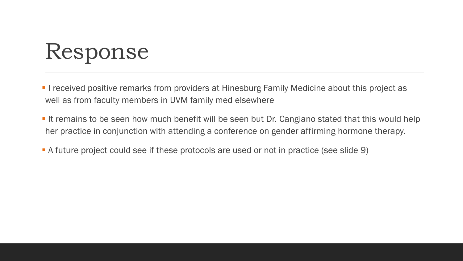# Response

- **I** received positive remarks from providers at Hinesburg Family Medicine about this project as well as from faculty members in UVM family med elsewhere
- **If remains to be seen how much benefit will be seen but Dr. Cangiano stated that this would help** her practice in conjunction with attending a conference on gender affirming hormone therapy.
- **•** A future project could see if these protocols are used or not in practice (see slide 9)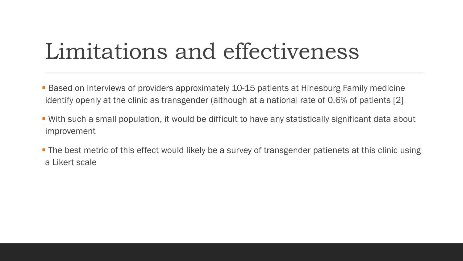## Limitations and effectiveness

- Based on interviews of providers approximately 10-15 patients at Hinesburg Family medicine identify openly at the clinic as transgender (although at a national rate of 0.6% of patients [2]
- With such a small population, it would be difficult to have any statistically significant data about improvement
- **The best metric of this effect would likely be a survey of transgender patienets at this clinic using** a Likert scale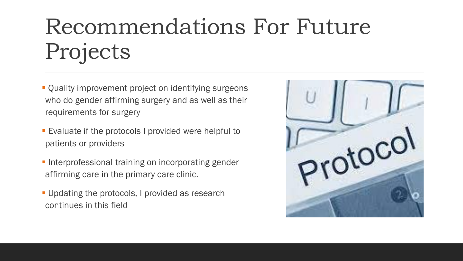## Recommendations For Future Projects

- **Quality improvement project on identifying surgeons** who do gender affirming surgery and as well as their requirements for surgery
- Evaluate if the protocols I provided were helpful to patients or providers
- **Interprofessional training on incorporating gender** affirming care in the primary care clinic.
- **.** Updating the protocols, I provided as research continues in this field

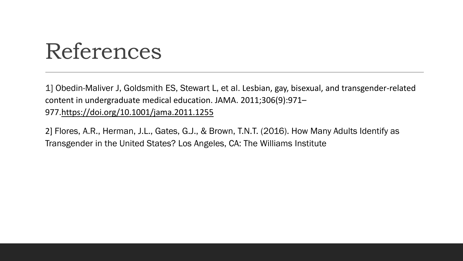### References

1] Obedin-Maliver J, Goldsmith ES, Stewart L, et al. Lesbian, gay, bisexual, and transgender-related content in undergraduate medical education. JAMA. 2011;306(9):971– 977[.https://doi.org/10.1001/jama.2011.1255](https://doi.org/10.1001/jama.2011.1255)

2] Flores, A.R., Herman, J.L., Gates, G.J., & Brown, T.N.T. (2016). How Many Adults Identify as Transgender in the United States? Los Angeles, CA: The Williams Institute